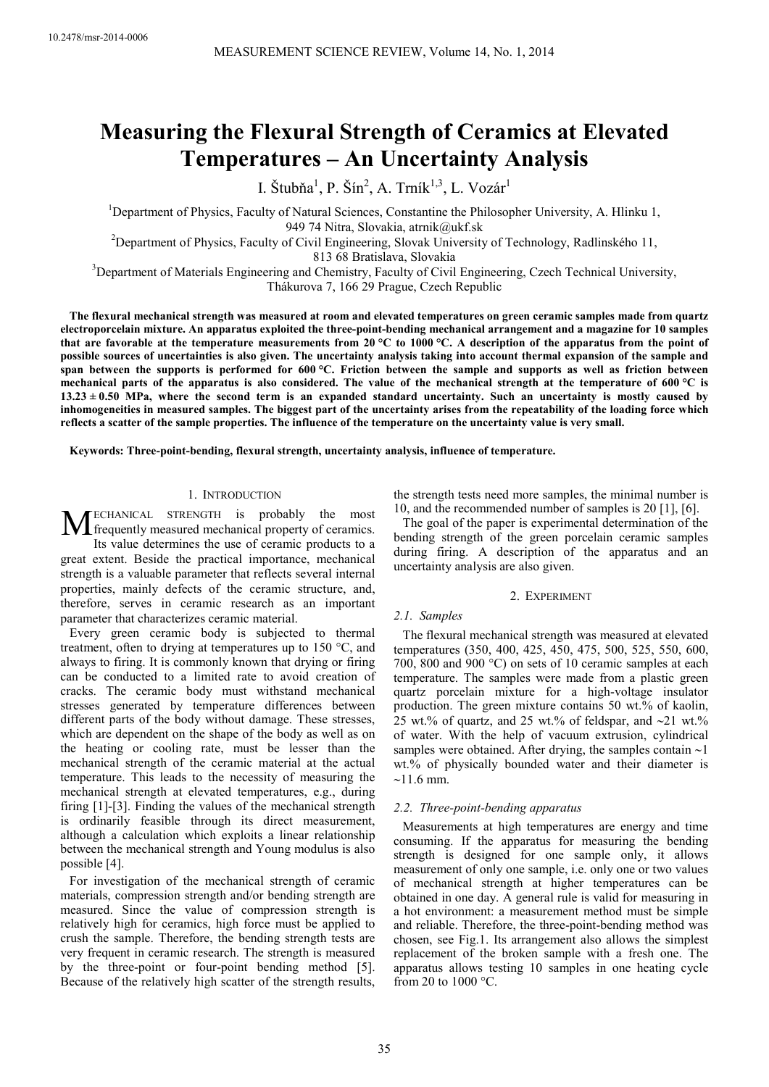# **Measuring the Flexural Strength of Ceramics at Elevated Temperatures – An Uncertainty Analysis**

I. Štubňa<sup>1</sup>, P. Šín<sup>2</sup>, A. Trník<sup>1,3</sup>, L. Vozár<sup>1</sup>

<sup>1</sup>Department of Physics, Faculty of Natural Sciences, Constantine the Philosopher University, A. Hlinku 1, 949 74 Nitra, Slovakia, atrnik@ukf.sk

<sup>2</sup>Department of Physics, Faculty of Civil Engineering, Slovak University of Technology, Radlinského 11,

813 68 Bratislava, Slovakia

<sup>3</sup>Department of Materials Engineering and Chemistry, Faculty of Civil Engineering, Czech Technical University,

Thákurova 7, 166 29 Prague, Czech Republic

**The flexural mechanical strength was measured at room and elevated temperatures on green ceramic samples made from quartz electroporcelain mixture. An apparatus exploited the three-point-bending mechanical arrangement and a magazine for 10 samples that are favorable at the temperature measurements from 20 °C to 1000 °C. A description of the apparatus from the point of possible sources of uncertainties is also given. The uncertainty analysis taking into account thermal expansion of the sample and span between the supports is performed for 600 °C. Friction between the sample and supports as well as friction between mechanical parts of the apparatus is also considered. The value of the mechanical strength at the temperature of 600 °C is**   $13.23 \pm 0.50$  MPa, where the second term is an expanded standard uncertainty. Such an uncertainty is mostly caused by **inhomogeneities in measured samples. The biggest part of the uncertainty arises from the repeatability of the loading force which reflects a scatter of the sample properties. The influence of the temperature on the uncertainty value is very small.** 

**Keywords: Three-point-bending, flexural strength, uncertainty analysis, influence of temperature.** 

# 1. INTRODUCTION

ECHANICAL STRENGTH is probably the most **MECHANICAL STRENGTH** is probably the most<br>frequently measured mechanical property of ceramics.<br>Its value determines the use of ceramic products to a Its value determines the use of ceramic products to a

great extent. Beside the practical importance, mechanical strength is a valuable parameter that reflects several internal properties, mainly defects of the ceramic structure, and, therefore, serves in ceramic research as an important parameter that characterizes ceramic material.

Every green ceramic body is subjected to thermal treatment, often to drying at temperatures up to 150 °C, and always to firing. It is commonly known that drying or firing can be conducted to a limited rate to avoid creation of cracks. The ceramic body must withstand mechanical stresses generated by temperature differences between different parts of the body without damage. These stresses, which are dependent on the shape of the body as well as on the heating or cooling rate, must be lesser than the mechanical strength of the ceramic material at the actual temperature. This leads to the necessity of measuring the mechanical strength at elevated temperatures, e.g., during firing [1]-[3]. Finding the values of the mechanical strength is ordinarily feasible through its direct measurement, although a calculation which exploits a linear relationship between the mechanical strength and Young modulus is also possible [4].

For investigation of the mechanical strength of ceramic materials, compression strength and/or bending strength are measured. Since the value of compression strength is relatively high for ceramics, high force must be applied to crush the sample. Therefore, the bending strength tests are very frequent in ceramic research. The strength is measured by the three-point or four-point bending method [5]. Because of the relatively high scatter of the strength results,

the strength tests need more samples, the minimal number is 10, and the recommended number of samples is 20 [1], [6].

The goal of the paper is experimental determination of the bending strength of the green porcelain ceramic samples during firing. A description of the apparatus and an uncertainty analysis are also given.

#### 2. EXPERIMENT

## *2.1. Samples*

The flexural mechanical strength was measured at elevated temperatures (350, 400, 425, 450, 475, 500, 525, 550, 600, 700, 800 and 900 °C) on sets of 10 ceramic samples at each temperature. The samples were made from a plastic green quartz porcelain mixture for a high-voltage insulator production. The green mixture contains 50 wt.% of kaolin, 25 wt.% of quartz, and 25 wt.% of feldspar, and ∼21 wt.% of water. With the help of vacuum extrusion, cylindrical samples were obtained. After drying, the samples contain ∼1 wt.% of physically bounded water and their diameter is ∼11.6 mm.

# *2.2. Three-point-bending apparatus*

Measurements at high temperatures are energy and time consuming. If the apparatus for measuring the bending strength is designed for one sample only, it allows measurement of only one sample, i.e. only one or two values of mechanical strength at higher temperatures can be obtained in one day. A general rule is valid for measuring in a hot environment: a measurement method must be simple and reliable. Therefore, the three-point-bending method was chosen, see Fig.1. Its arrangement also allows the simplest replacement of the broken sample with a fresh one. The apparatus allows testing 10 samples in one heating cycle from 20 to 1000 °C.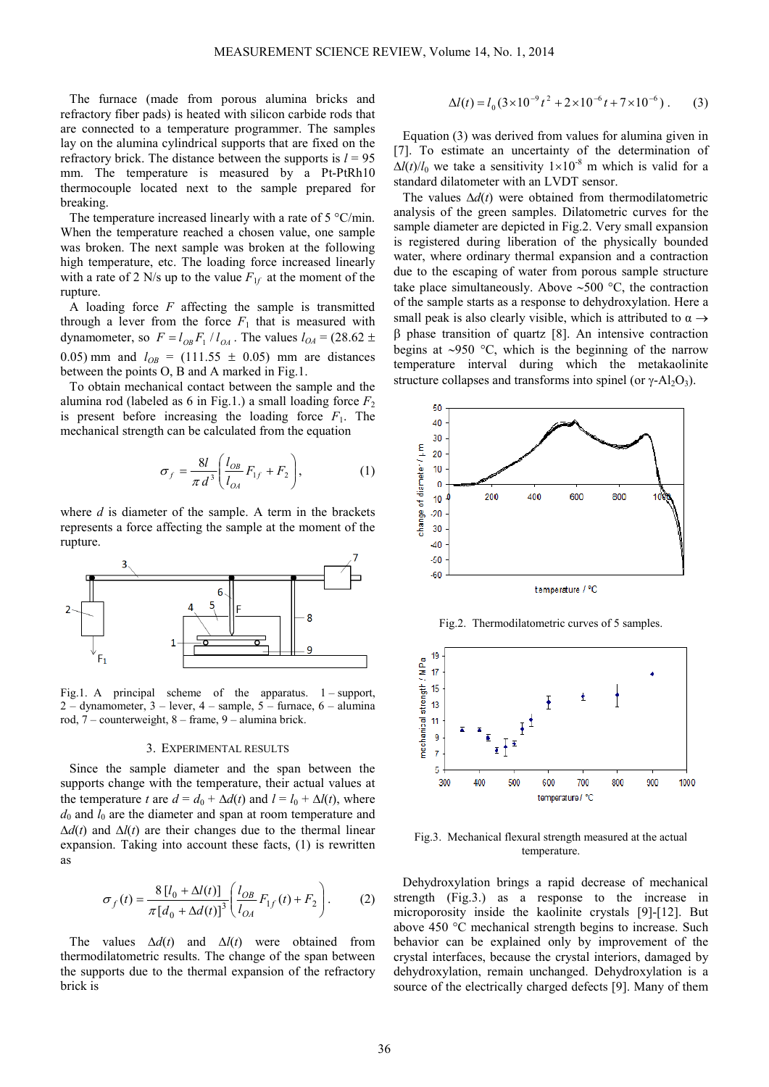The furnace (made from porous alumina bricks and refractory fiber pads) is heated with silicon carbide rods that are connected to a temperature programmer. The samples lay on the alumina cylindrical supports that are fixed on the refractory brick. The distance between the supports is  $l = 95$ mm. The temperature is measured by a Pt-PtRh10 thermocouple located next to the sample prepared for breaking.

The temperature increased linearly with a rate of 5 °C/min. When the temperature reached a chosen value, one sample was broken. The next sample was broken at the following high temperature, etc. The loading force increased linearly with a rate of 2 N/s up to the value  $F_{1f}$  at the moment of the rupture.

A loading force *F* affecting the sample is transmitted through a lever from the force  $F_1$  that is measured with dynamometer, so  $F = l_{OB} F_1 / l_{OA}$ . The values  $l_{OA} = (28.62 \pm$ 0.05) mm and  $l_{OB}$  = (111.55  $\pm$  0.05) mm are distances between the points O, B and A marked in Fig.1.

To obtain mechanical contact between the sample and the alumina rod (labeled as 6 in Fig.1.) a small loading force  $F_2$ is present before increasing the loading force  $F_1$ . The mechanical strength can be calculated from the equation

$$
\sigma_f = \frac{8l}{\pi d^3} \left( \frac{l_{OB}}{l_{OA}} F_{1f} + F_2 \right),\tag{1}
$$

where *d* is diameter of the sample. A term in the brackets represents a force affecting the sample at the moment of the rupture.



Fig.1. A principal scheme of the apparatus. 1 – support, 2 – dynamometer,  $3$  – lever,  $4$  – sample,  $5$  – furnace,  $6$  – alumina rod, 7 – counterweight, 8 – frame, 9 – alumina brick.

#### 3. EXPERIMENTAL RESULTS

Since the sample diameter and the span between the supports change with the temperature, their actual values at the temperature *t* are  $d = d_0 + \Delta d(t)$  and  $l = l_0 + \Delta l(t)$ , where  $d_0$  and  $l_0$  are the diameter and span at room temperature and  $\Delta d(t)$  and  $\Delta l(t)$  are their changes due to the thermal linear expansion. Taking into account these facts, (1) is rewritten as

$$
\sigma_f(t) = \frac{8 [l_0 + \Delta l(t)]}{\pi [d_0 + \Delta d(t)]^3} \left( \frac{l_{OB}}{l_{OA}} F_{1f}(t) + F_2 \right).
$$
 (2)

The values ∆*d*(*t*) and ∆*l*(*t*) were obtained from thermodilatometric results. The change of the span between the supports due to the thermal expansion of the refractory brick is

$$
\Delta l(t) = l_0 (3 \times 10^{-9} t^2 + 2 \times 10^{-6} t + 7 \times 10^{-6}).
$$
 (3)

Equation (3) was derived from values for alumina given in [7]. To estimate an uncertainty of the determination of  $\Delta l(t) / l_0$  we take a sensitivity  $1 \times 10^{-8}$  m which is valid for a standard dilatometer with an LVDT sensor.

The values ∆*d*(*t*) were obtained from thermodilatometric analysis of the green samples. Dilatometric curves for the sample diameter are depicted in Fig.2. Very small expansion is registered during liberation of the physically bounded water, where ordinary thermal expansion and a contraction due to the escaping of water from porous sample structure take place simultaneously. Above ∼500 °C, the contraction of the sample starts as a response to dehydroxylation. Here a small peak is also clearly visible, which is attributed to  $\alpha \rightarrow$ β phase transition of quartz [8]. An intensive contraction begins at ∼950 °C, which is the beginning of the narrow temperature interval during which the metakaolinite structure collapses and transforms into spinel (or  $\gamma$ -Al<sub>2</sub>O<sub>3</sub>).



Fig.2. Thermodilatometric curves of 5 samples.



Fig.3. Mechanical flexural strength measured at the actual temperature.

Dehydroxylation brings a rapid decrease of mechanical strength (Fig.3.) as a response to the increase in microporosity inside the kaolinite crystals [9]-[12]. But above 450 °C mechanical strength begins to increase. Such behavior can be explained only by improvement of the crystal interfaces, because the crystal interiors, damaged by dehydroxylation, remain unchanged. Dehydroxylation is a source of the electrically charged defects [9]. Many of them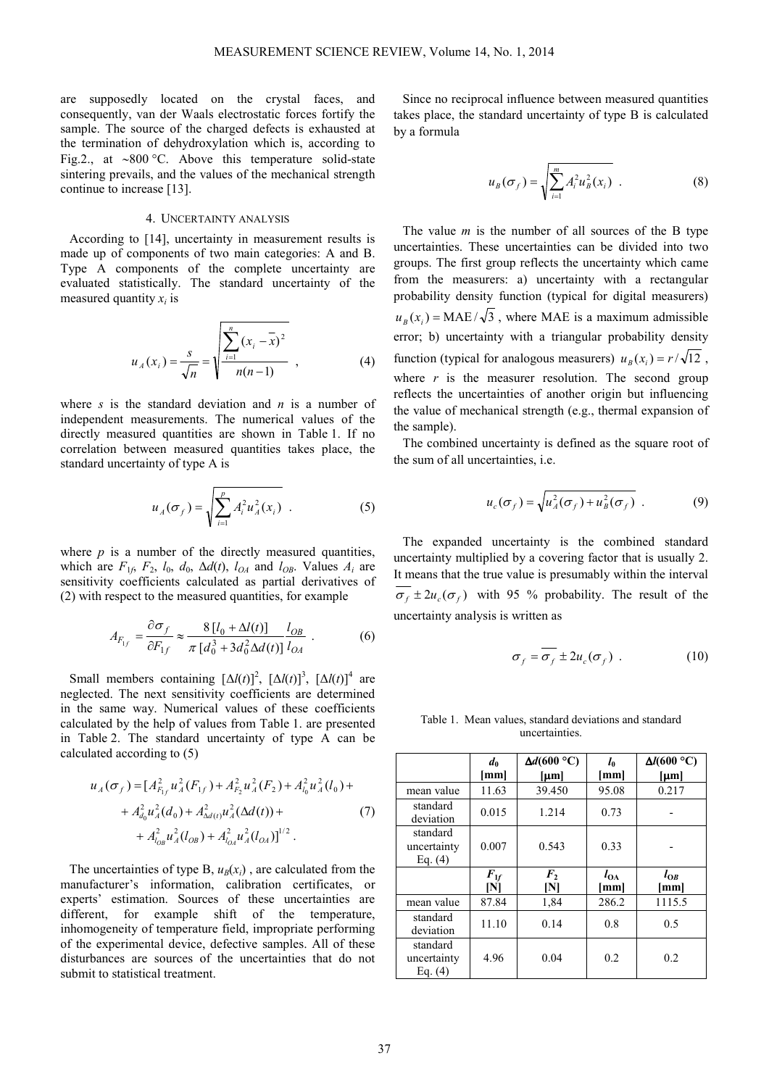are supposedly located on the crystal faces, and consequently, van der Waals electrostatic forces fortify the sample. The source of the charged defects is exhausted at the termination of dehydroxylation which is, according to Fig.2., at ∼800 °C. Above this temperature solid-state sintering prevails, and the values of the mechanical strength continue to increase [13].

## 4. UNCERTAINTY ANALYSIS

According to [14], uncertainty in measurement results is made up of components of two main categories: A and B. Type A components of the complete uncertainty are evaluated statistically. The standard uncertainty of the measured quantity  $x_i$  is

$$
u_A(x_i) = \frac{s}{\sqrt{n}} = \sqrt{\frac{\sum_{i=1}^{n} (x_i - \overline{x})^2}{n(n-1)}} \tag{4}
$$

where *s* is the standard deviation and *n* is a number of independent measurements. The numerical values of the directly measured quantities are shown in Table 1. If no correlation between measured quantities takes place, the standard uncertainty of type A is

$$
u_A(\sigma_f) = \sqrt{\sum_{i=1}^p A_i^2 u_A^2(x_i)} \quad . \tag{5}
$$

where  $p$  is a number of the directly measured quantities, which are  $F_{1f}$ ,  $F_2$ ,  $l_0$ ,  $d_0$ ,  $\Delta d(t)$ ,  $l_{OA}$  and  $l_{OB}$ . Values  $A_i$  are sensitivity coefficients calculated as partial derivatives of (2) with respect to the measured quantities, for example

$$
A_{F_{1f}} = \frac{\partial \sigma_f}{\partial F_{1f}} \approx \frac{8\left[l_0 + \Delta l(t)\right]}{\pi\left[d_0^3 + 3d_0^2 \Delta d(t)\right]l_{OA}} \tag{6}
$$

Small members containing  $[\Delta l(t)]^2$ ,  $[\Delta l(t)]^3$ ,  $[\Delta l(t)]^4$  are neglected. The next sensitivity coefficients are determined in the same way. Numerical values of these coefficients calculated by the help of values from Table 1. are presented in Table 2. The standard uncertainty of type A can be calculated according to (5)

$$
u_A(\sigma_f) = [A_{F_{1f}}^2 u_A^2(F_{1f}) + A_{F_2}^2 u_A^2(F_2) + A_{I_0}^2 u_A^2(l_0) ++ A_{d_0}^2 u_A^2(d_0) + A_{\Delta d(t)}^2 u_A^2(\Delta d(t)) ++ A_{I_{0B}}^2 u_A^2(l_{OB}) + A_{I_{0A}}^2 u_A^2(l_{OA})]^{1/2}.
$$
 (7)

The uncertainties of type B,  $u_B(x_i)$ , are calculated from the manufacturer's information, calibration certificates, or experts' estimation. Sources of these uncertainties are different, for example shift of the temperature, inhomogeneity of temperature field, impropriate performing of the experimental device, defective samples. All of these disturbances are sources of the uncertainties that do not submit to statistical treatment.

Since no reciprocal influence between measured quantities takes place, the standard uncertainty of type B is calculated by a formula

$$
u_B(\sigma_f) = \sqrt{\sum_{i=1}^m A_i^2 u_B^2(x_i)} \quad . \tag{8}
$$

The value *m* is the number of all sources of the B type uncertainties. These uncertainties can be divided into two groups. The first group reflects the uncertainty which came from the measurers: a) uncertainty with a rectangular probability density function (typical for digital measurers)  $u_B(x_i) = \text{MAE}/\sqrt{3}$ , where MAE is a maximum admissible error; b) uncertainty with a triangular probability density function (typical for analogous measurers)  $u_p(x) = r/\sqrt{12}$ . where  $r$  is the measurer resolution. The second group reflects the uncertainties of another origin but influencing the value of mechanical strength (e.g., thermal expansion of the sample).

The combined uncertainty is defined as the square root of the sum of all uncertainties, i.e.

$$
u_c(\sigma_f) = \sqrt{u_A^2(\sigma_f) + u_B^2(\sigma_f)} \tag{9}
$$

The expanded uncertainty is the combined standard uncertainty multiplied by a covering factor that is usually 2. It means that the true value is presumably within the interval  $\sigma_f \pm 2u_c(\sigma_f)$  with 95 % probability. The result of the uncertainty analysis is written as

$$
\sigma_f = \overline{\sigma_f} \pm 2u_c(\sigma_f) \ . \tag{10}
$$

Table 1. Mean values, standard deviations and standard uncertainties.

|                                      | $d_0$<br>[mm]                | $\Delta d(600 °C)$<br>${\mu}$ m | $l_0$<br>[mm]  | $\Delta l(600 °C)$<br>${\rm [µm]}$ |  |
|--------------------------------------|------------------------------|---------------------------------|----------------|------------------------------------|--|
| mean value                           | 11.63                        | 39.450                          | 95.08          | 0.217                              |  |
| standard<br>deviation                | 0.015                        | 1.214                           | 0.73           |                                    |  |
| standard<br>uncertainty<br>Eq. $(4)$ | 0.007                        | 0.543                           | 0.33           |                                    |  |
|                                      | $\boldsymbol{F}_{1f}$<br>ΙNΙ | F <sub>2</sub><br>N             | $l_{OA}$<br>mm | $l_{OB}$<br>mml                    |  |
| mean value                           | 87.84                        | 1,84                            | 286.2          | 1115.5                             |  |
| standard<br>deviation                | 11.10                        | 0.14                            | 0.8            | 0.5                                |  |
| standard<br>uncertainty<br>Eq. $(4)$ | 4.96                         | 0.04                            | 0.2            | 0.2                                |  |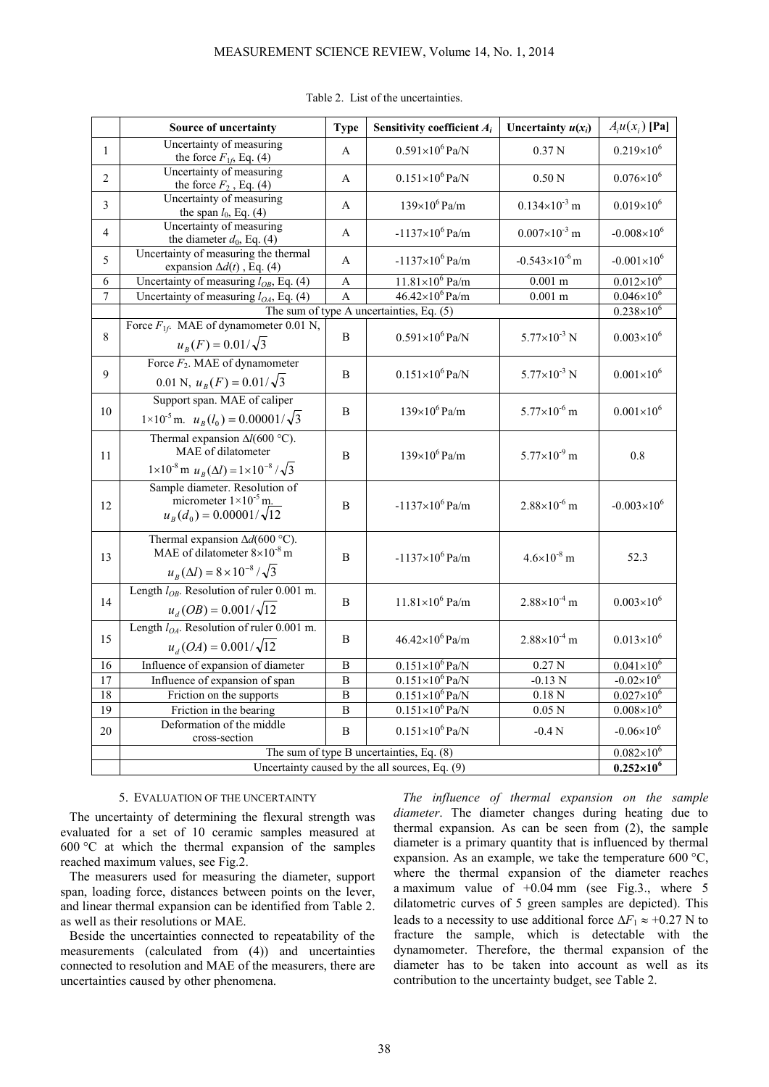|                | Source of uncertainty                                                                                                                     | <b>Type</b>    | Sensitivity coefficient $A_i$ | Uncertainty $u(x_i)$    | $A_i u(x_i)$ [Pa]                          |  |
|----------------|-------------------------------------------------------------------------------------------------------------------------------------------|----------------|-------------------------------|-------------------------|--------------------------------------------|--|
| $\mathbf{1}$   | Uncertainty of measuring<br>the force $F_{16}$ Eq. (4)                                                                                    | A              | $0.591\times10^{6}$ Pa/N      | 0.37 <sub>N</sub>       | $0.219\times10^{6}$                        |  |
| $\overline{2}$ | Uncertainty of measuring<br>the force $F_2$ , Eq. (4)                                                                                     | $\mathsf{A}$   | $0.151\times10^{6}$ Pa/N      | 0.50 <sub>N</sub>       | $0.076\times10^{6}$                        |  |
| 3              | Uncertainty of measuring<br>the span $l_0$ , Eq. (4)                                                                                      | A              | $139\times10^6$ Pa/m          | $0.134\times10^{-3}$ m  | $0.019\times10^{6}$                        |  |
| $\overline{4}$ | Uncertainty of measuring<br>the diameter $d_0$ , Eq. (4)                                                                                  | A              | $-1137\times10^{6}$ Pa/m      | $0.007\times10^{-3}$ m  | $-0.008\times10^{6}$                       |  |
| 5              | Uncertainty of measuring the thermal<br>expansion $\Delta d(t)$ , Eq. (4)                                                                 | A              | $-1137\times10^{6}$ Pa/m      | $-0.543\times10^{-6}$ m | $-0.001\times10^{6}$                       |  |
| 6              | Uncertainty of measuring $l_{OB}$ , Eq. (4)                                                                                               | A              | $11.81\times10^{6}$ Pa/m      | $0.001 \text{ m}$       | $0.012\times10^{6}$                        |  |
| $\overline{7}$ | Uncertainty of measuring $l_{OA}$ , Eq. (4)                                                                                               | A              | $46.42\times10^{6}$ Pa/m      | $0.001$ m               | $0.046\times10^{6}$                        |  |
|                | The sum of type A uncertainties, Eq. (5)                                                                                                  |                |                               |                         |                                            |  |
| 8              | Force $F_{1f}$ . MAE of dynamometer 0.01 N,<br>$u_B(F) = 0.01/\sqrt{3}$                                                                   | $\overline{B}$ | $0.591\times10^{6}$ Pa/N      | $5.77\times10^{-3}$ N   | $0.003\times10^{6}$                        |  |
| 9              | Force $F_2$ . MAE of dynamometer<br>0.01 N, $u_R(F) = 0.01/\sqrt{3}$                                                                      | B              | $0.151\times10^{6}$ Pa/N      | $5.77\times10^{-3}$ N   | $0.001\times10^{6}$                        |  |
| 10             | Support span. MAE of caliper<br>$1\times10^{-5}$ m. $u_B(l_0) = 0.00001/\sqrt{3}$                                                         | B              | $139\times10^{6}$ Pa/m        | $5.77\times10^{-6}$ m   | $0.001\times10^{6}$                        |  |
| 11             | Thermal expansion $\Delta l(600 \degree C)$ .<br>MAE of dilatometer<br>$1 \times 10^{-8}$ m $u_B(\Delta l) = 1 \times 10^{-8} / \sqrt{3}$ | B              | $139\times10^{6}$ Pa/m        | $5.77\times10^{-9}$ m   | 0.8                                        |  |
| 12             | Sample diameter. Resolution of<br>micrometer $1 \times 10^{-5}$ m.<br>$u_{B}(d_{0}) = 0.00001/\sqrt{12}$                                  | B              | $-1137\times10^{6}$ Pa/m      | $2.88\times10^{-6}$ m   | $-0.003\times10^{6}$                       |  |
| 13             | Thermal expansion $\Delta d(600 \degree C)$ .<br>MAE of dilatometer $8\times10^{-8}$ m<br>$u_{B}(\Delta l) = 8 \times 10^{-8} / \sqrt{3}$ | B              | $-1137\times10^{6}$ Pa/m      | $4.6 \times 10^{-8}$ m  | 52.3                                       |  |
| 14             | Length $l_{OB}$ . Resolution of ruler 0.001 m.<br>$u_d(OB) = 0.001/\sqrt{12}$                                                             | B              | $11.81\times10^{6}$ Pa/m      | $2.88\times10^{-4}$ m   | $0.003\times10^{6}$                        |  |
| 15             | Length $l_{OA}$ . Resolution of ruler 0.001 m.<br>$u_d(OA) = 0.001/\sqrt{12}$                                                             | B              | $46.42\times10^{6}$ Pa/m      | $2.88\times10^{-4}$ m   | $0.013\times10^{6}$                        |  |
| 16             | Influence of expansion of diameter                                                                                                        | B              | $0.151\times10^{6}$ Pa/N      | 0.27N                   | $0.041\times10^{6}$                        |  |
| 17             | Influence of expansion of span                                                                                                            | $\, {\bf B}$   | $0.151\times10^{6}$ Pa/N      | $-0.13 N$               | $-0.02\times10^{6}$                        |  |
| 18             | Friction on the supports                                                                                                                  | B              | $0.151\times10^{6}$ Pa/N      | 0.18 N                  | $0.027\times10^{6}$                        |  |
| 19             | Friction in the bearing                                                                                                                   | $\overline{B}$ | $0.151\times10^{6}$ Pa/N      | 0.05 <sub>N</sub>       | $0.008\times10^{6}$                        |  |
| $20\,$         | Deformation of the middle<br>cross-section                                                                                                | B              | $0.151\times10^{6}$ Pa/N      | $-0.4N$                 | $-0.06 \times 10^6$<br>$0.082\times10^{6}$ |  |
|                | The sum of type B uncertainties, Eq. (8)                                                                                                  |                |                               |                         |                                            |  |
|                | Uncertainty caused by the all sources, Eq. (9)                                                                                            |                |                               |                         |                                            |  |

#### Table 2. List of the uncertainties.

# 5. EVALUATION OF THE UNCERTAINTY

The uncertainty of determining the flexural strength was evaluated for a set of 10 ceramic samples measured at 600 °C at which the thermal expansion of the samples reached maximum values, see Fig.2.

The measurers used for measuring the diameter, support span, loading force, distances between points on the lever, and linear thermal expansion can be identified from Table 2. as well as their resolutions or MAE.

Beside the uncertainties connected to repeatability of the measurements (calculated from (4)) and uncertainties connected to resolution and MAE of the measurers, there are uncertainties caused by other phenomena.

*The influence of thermal expansion on the sample diameter*. The diameter changes during heating due to thermal expansion. As can be seen from (2), the sample diameter is a primary quantity that is influenced by thermal expansion. As an example, we take the temperature 600 °C, where the thermal expansion of the diameter reaches a maximum value of  $+0.04$  mm (see Fig.3., where 5 dilatometric curves of 5 green samples are depicted). This leads to a necessity to use additional force  $\Delta F_1 \approx +0.27$  N to fracture the sample, which is detectable with the dynamometer. Therefore, the thermal expansion of the diameter has to be taken into account as well as its contribution to the uncertainty budget, see Table 2.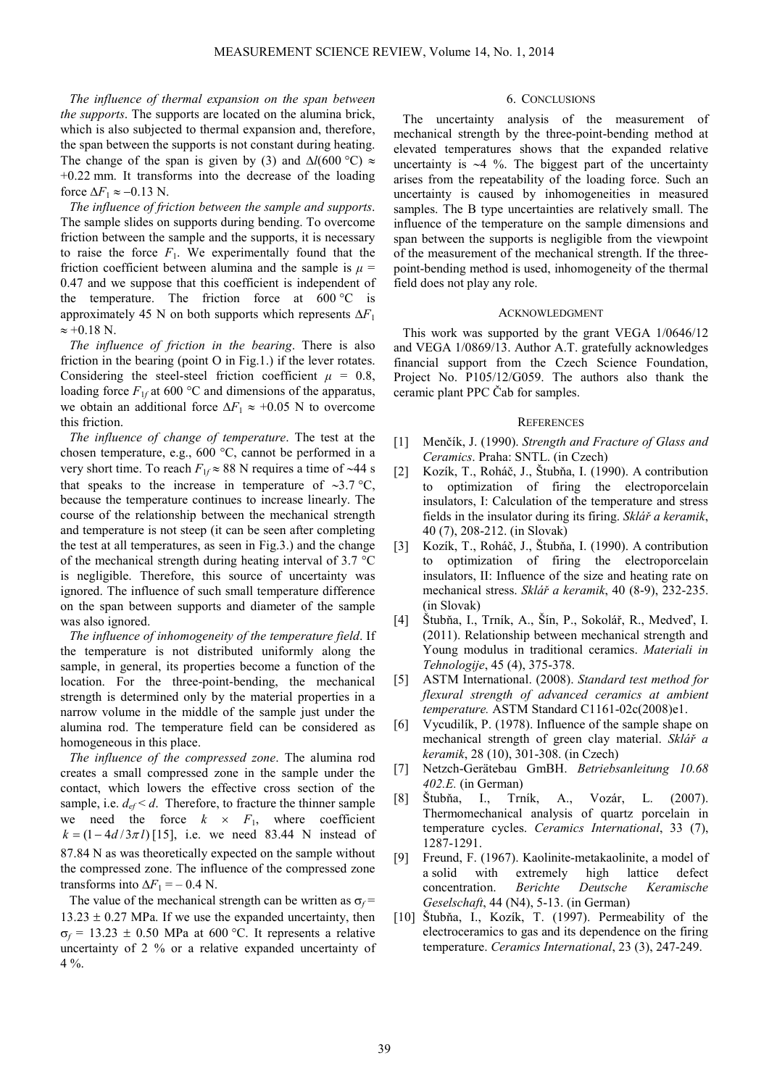*The influence of thermal expansion on the span between the supports*. The supports are located on the alumina brick, which is also subjected to thermal expansion and, therefore, the span between the supports is not constant during heating. The change of the span is given by (3) and  $\Delta l$ (600 °C) ≈ +0.22 mm. It transforms into the decrease of the loading force  $\Delta F_1 \approx -0.13$  N.

*The influence of friction between the sample and supports*. The sample slides on supports during bending. To overcome friction between the sample and the supports, it is necessary to raise the force  $F_1$ . We experimentally found that the friction coefficient between alumina and the sample is  $\mu$  = 0.47 and we suppose that this coefficient is independent of the temperature. The friction force at  $600\,^{\circ}\text{C}$  is approximately 45 N on both supports which represents ∆*F*<sup>1</sup>  $\approx +0.18$  N.

*The influence of friction in the bearing*. There is also friction in the bearing (point O in Fig.1.) if the lever rotates. Considering the steel-steel friction coefficient  $\mu = 0.8$ , loading force  $F_{1f}$  at 600 °C and dimensions of the apparatus, we obtain an additional force  $\Delta F_1 \approx +0.05$  N to overcome this friction.

*The influence of change of temperature*. The test at the chosen temperature, e.g., 600 °C, cannot be performed in a very short time. To reach *F*1*<sup>f</sup>* ≈ 88 N requires a time of ∼44 s that speaks to the increase in temperature of ∼3.7 °C, because the temperature continues to increase linearly. The course of the relationship between the mechanical strength and temperature is not steep (it can be seen after completing the test at all temperatures, as seen in Fig.3.) and the change of the mechanical strength during heating interval of 3.7 °C is negligible. Therefore, this source of uncertainty was ignored. The influence of such small temperature difference on the span between supports and diameter of the sample was also ignored.

*The influence of inhomogeneity of the temperature field*. If the temperature is not distributed uniformly along the sample, in general, its properties become a function of the location. For the three-point-bending, the mechanical strength is determined only by the material properties in a narrow volume in the middle of the sample just under the alumina rod. The temperature field can be considered as homogeneous in this place.

*The influence of the compressed zone*. The alumina rod creates a small compressed zone in the sample under the contact, which lowers the effective cross section of the sample, i.e.  $d_{ef} < d$ . Therefore, to fracture the thinner sample we need the force  $k \times F_1$ , where coefficient  $k = (1 - 4d/3\pi l)$  [15], i.e. we need 83.44 N instead of 87.84 N as was theoretically expected on the sample without the compressed zone. The influence of the compressed zone transforms into  $\Delta F_1$  = – 0.4 N.

The value of the mechanical strength can be written as  $\sigma_f$ =  $13.23 \pm 0.27$  MPa. If we use the expanded uncertainty, then  $\sigma_f$  = 13.23  $\pm$  0.50 MPa at 600 °C. It represents a relative uncertainty of 2 % or a relative expanded uncertainty of 4 %.

### 6. CONCLUSIONS

The uncertainty analysis of the measurement of mechanical strength by the three-point-bending method at elevated temperatures shows that the expanded relative uncertainty is ∼4 %. The biggest part of the uncertainty arises from the repeatability of the loading force. Such an uncertainty is caused by inhomogeneities in measured samples. The B type uncertainties are relatively small. The influence of the temperature on the sample dimensions and span between the supports is negligible from the viewpoint of the measurement of the mechanical strength. If the threepoint-bending method is used, inhomogeneity of the thermal field does not play any role.

#### ACKNOWLEDGMENT

This work was supported by the grant VEGA 1/0646/12 and VEGA 1/0869/13. Author A.T. gratefully acknowledges financial support from the Czech Science Foundation, Project No. P105/12/G059. The authors also thank the ceramic plant PPC Čab for samples.

#### **REFERENCES**

- [1] Menčík, J. (1990). *Strength and Fracture of Glass and Ceramics*. Praha: SNTL. (in Czech)
- [2] Kozík, T., Roháč, J., Štubňa, I. (1990). A contribution to optimization of firing the electroporcelain insulators, I: Calculation of the temperature and stress fields in the insulator during its firing. *Sklář a keramik*, 40 (7), 208-212. (in Slovak)
- [3] Kozík, T., Roháč, J., Štubňa, I. (1990). A contribution to optimization of firing the electroporcelain insulators, II: Influence of the size and heating rate on mechanical stress. *Sklář a keramik*, 40 (8-9), 232-235. (in Slovak)
- [4] Štubňa, I., Trník, A., Šín, P., Sokolář, R., Medveď, I. (2011). Relationship between mechanical strength and Young modulus in traditional ceramics. *Materiali in Tehnologije*, 45 (4), 375-378.
- [5] ASTM International. (2008). *Standard test method for flexural strength of advanced ceramics at ambient temperature.* ASTM Standard C1161-02c(2008)e1.
- [6] Vycudilík, P. (1978). Influence of the sample shape on mechanical strength of green clay material. *Sklář a keramik*, 28 (10), 301-308. (in Czech)
- [7] Netzch-Gerätebau GmBH. *Betriebsanleitung 10.68 402.E.* (in German)
- [8] Štubňa, I., Trník, A., Vozár, L. (2007). Thermomechanical analysis of quartz porcelain in temperature cycles. *Ceramics International*, 33 (7), 1287-1291.
- [9] Freund, F. (1967). Kaolinite-metakaolinite, a model of a solid with extremely high lattice defect concentration. *Berichte Deutsche Keramische Geselschaft*, 44 (N4), 5-13. (in German)
- [10] Štubňa, I., Kozík, T. (1997). Permeability of the electroceramics to gas and its dependence on the firing temperature. *Ceramics International*, 23 (3), 247-249.